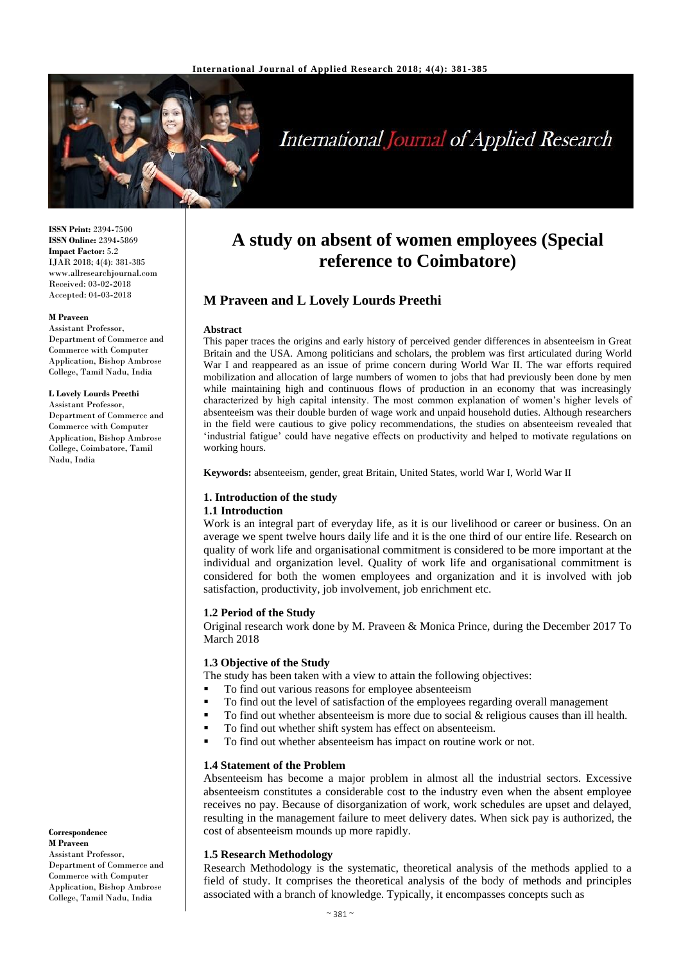

# **International Journal of Applied Research**

**ISSN Print:** 2394**-**7500 **ISSN Online:** 2394**-**5869 **Impact Factor:** 5.2 IJAR 2018; 4(4): 381-385 www.allresearchjournal.com Received: 03**-**02**-**2018 Accepted: 04**-**03**-**2018

#### **M Praveen**

Assistant Professor, Department of Commerce and Commerce with Computer Application, Bishop Ambrose College, Tamil Nadu, India

#### **L Lovely Lourds Preethi**

Assistant Professor, Department of Commerce and Commerce with Computer Application, Bishop Ambrose College, Coimbatore, Tamil Nadu, India

## **Correspondence M Praveen**  Assistant Professor, Department of Commerce and

Commerce with Computer Application, Bishop Ambrose College, Tamil Nadu, India

## **A study on absent of women employees (Special reference to Coimbatore)**

## **M Praveen and L Lovely Lourds Preethi**

#### **Abstract**

This paper traces the origins and early history of perceived gender differences in absenteeism in Great Britain and the USA. Among politicians and scholars, the problem was first articulated during World War I and reappeared as an issue of prime concern during World War II. The war efforts required mobilization and allocation of large numbers of women to jobs that had previously been done by men while maintaining high and continuous flows of production in an economy that was increasingly characterized by high capital intensity. The most common explanation of women's higher levels of absenteeism was their double burden of wage work and unpaid household duties. Although researchers in the field were cautious to give policy recommendations, the studies on absenteeism revealed that 'industrial fatigue' could have negative effects on productivity and helped to motivate regulations on working hours.

**Keywords:** absenteeism, gender, great Britain, United States, world War I, World War II

### **1. Introduction of the study**

#### **1.1 Introduction**

Work is an integral part of everyday life, as it is our livelihood or career or business. On an average we spent twelve hours daily life and it is the one third of our entire life. Research on quality of work life and organisational commitment is considered to be more important at the individual and organization level. Quality of work life and organisational commitment is considered for both the women employees and organization and it is involved with job satisfaction, productivity, job involvement, job enrichment etc.

#### **1.2 Period of the Study**

Original research work done by M. Praveen & Monica Prince, during the December 2017 To March 2018

#### **1.3 Objective of the Study**

The study has been taken with a view to attain the following objectives:

- To find out various reasons for employee absenteeism
- To find out the level of satisfaction of the employees regarding overall management
- $\blacksquare$  To find out whether absenteeism is more due to social & religious causes than ill health.
	- To find out whether shift system has effect on absenteeism.
	- To find out whether absenteeism has impact on routine work or not.

#### **1.4 Statement of the Problem**

Absenteeism has become a major problem in almost all the industrial sectors. Excessive absenteeism constitutes a considerable cost to the industry even when the absent employee receives no pay. Because of disorganization of work, work schedules are upset and delayed, resulting in the management failure to meet delivery dates. When sick pay is authorized, the cost of absenteeism mounds up more rapidly.

#### **1.5 Research Methodology**

Research Methodology is the systematic, theoretical analysis of the methods applied to a field of study. It comprises the theoretical analysis of the body of methods and principles associated with a branch of knowledge. Typically, it encompasses concepts such as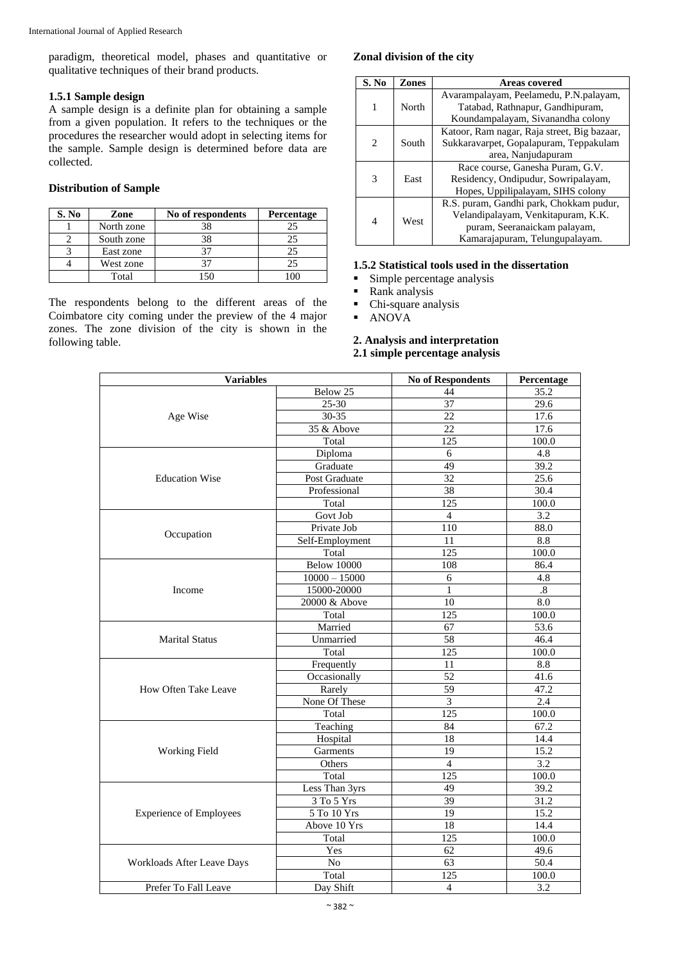paradigm, theoretical model, phases and quantitative or qualitative techniques of their brand products.

### **1.5.1 Sample design**

A sample design is a definite plan for obtaining a sample from a given population. It refers to the techniques or the procedures the researcher would adopt in selecting items for the sample. Sample design is determined before data are collected.

#### **Distribution of Sample**

| S. No | Zone       | No of respondents | Percentage |
|-------|------------|-------------------|------------|
|       | North zone | 38                | 25         |
|       | South zone | 38                |            |
|       | East zone  |                   | 25         |
|       | West zone  |                   | 25         |
|       | Total      | 15،               |            |

The respondents belong to the different areas of the Coimbatore city coming under the preview of the 4 major zones. The zone division of the city is shown in the following table.

## **Zonal division of the city**

| S. No                       | Zones | <b>Areas covered</b>                        |
|-----------------------------|-------|---------------------------------------------|
|                             |       | Avarampalayam, Peelamedu, P.N.palayam,      |
|                             | North | Tatabad, Rathnapur, Gandhipuram,            |
|                             |       | Koundampalayam, Sivanandha colony           |
|                             |       | Katoor, Ram nagar, Raja street, Big bazaar, |
| $\mathcal{D}_{\mathcal{L}}$ | South | Sukkaravarpet, Gopalapuram, Teppakulam      |
|                             |       | area, Nanjudapuram                          |
|                             |       | Race course, Ganesha Puram, G.V.            |
| 3                           | East  | Residency, Ondipudur, Sowripalayam,         |
|                             |       | Hopes, Uppilipalayam, SIHS colony           |
|                             |       | R.S. puram, Gandhi park, Chokkam pudur,     |
| 4                           | West  | Velandipalayam, Venkitapuram, K.K.          |
|                             |       | puram, Seeranaickam palayam,                |
|                             |       | Kamarajapuram, Telungupalayam.              |

## **1.5.2 Statistical tools used in the dissertation**

- Simple percentage analysis
- Rank analysis
- Chi**-**square analysis
- ANOVA

## **2. Analysis and interpretation 2.1 simple percentage analysis**

| <b>Variables</b>                                                       |                                                                                                                                                                                                                                                                                                                                       | <b>No of Respondents</b><br>Percentage |        |
|------------------------------------------------------------------------|---------------------------------------------------------------------------------------------------------------------------------------------------------------------------------------------------------------------------------------------------------------------------------------------------------------------------------------|----------------------------------------|--------|
|                                                                        | Below 25                                                                                                                                                                                                                                                                                                                              | 44                                     | 35.2   |
|                                                                        | 25-30                                                                                                                                                                                                                                                                                                                                 | 37                                     | 29.6   |
| Age Wise                                                               | 30-35                                                                                                                                                                                                                                                                                                                                 | 22                                     | 17.6   |
|                                                                        | 35 & Above                                                                                                                                                                                                                                                                                                                            | 22                                     | 17.6   |
| <b>Education Wise</b><br>Occupation<br>Income<br><b>Marital Status</b> | Total                                                                                                                                                                                                                                                                                                                                 | 125                                    | 100.0  |
|                                                                        | Diploma                                                                                                                                                                                                                                                                                                                               | 6                                      | 4.8    |
|                                                                        | Graduate                                                                                                                                                                                                                                                                                                                              | 49                                     | 39.2   |
|                                                                        | Post Graduate                                                                                                                                                                                                                                                                                                                         | 32                                     | 25.6   |
|                                                                        | Professional                                                                                                                                                                                                                                                                                                                          | 38                                     | 30.4   |
|                                                                        | Total                                                                                                                                                                                                                                                                                                                                 | 125                                    | 100.0  |
|                                                                        | Govt Job                                                                                                                                                                                                                                                                                                                              | $\overline{4}$                         | 3.2    |
|                                                                        | Private Job                                                                                                                                                                                                                                                                                                                           | 110                                    | 88.0   |
|                                                                        |                                                                                                                                                                                                                                                                                                                                       | 11                                     | 8.8    |
|                                                                        | Total                                                                                                                                                                                                                                                                                                                                 | 125                                    | 100.0  |
|                                                                        | <b>Below 10000</b>                                                                                                                                                                                                                                                                                                                    | 108                                    | 86.4   |
|                                                                        |                                                                                                                                                                                                                                                                                                                                       | 6                                      | 4.8    |
|                                                                        |                                                                                                                                                                                                                                                                                                                                       | $\mathbf{1}$                           | $.8\,$ |
|                                                                        |                                                                                                                                                                                                                                                                                                                                       | 10                                     | 8.0    |
|                                                                        |                                                                                                                                                                                                                                                                                                                                       | 125                                    | 100.0  |
|                                                                        |                                                                                                                                                                                                                                                                                                                                       | 67                                     | 53.6   |
|                                                                        | Unmarried                                                                                                                                                                                                                                                                                                                             | 58                                     | 46.4   |
|                                                                        | Total                                                                                                                                                                                                                                                                                                                                 | 125                                    | 100.0  |
|                                                                        |                                                                                                                                                                                                                                                                                                                                       | 11                                     | 8.8    |
|                                                                        |                                                                                                                                                                                                                                                                                                                                       | 52                                     | 41.6   |
| How Often Take Leave                                                   |                                                                                                                                                                                                                                                                                                                                       | 59                                     | 47.2   |
|                                                                        |                                                                                                                                                                                                                                                                                                                                       | 3                                      | 2.4    |
|                                                                        | Total                                                                                                                                                                                                                                                                                                                                 | 125                                    | 100.0  |
|                                                                        |                                                                                                                                                                                                                                                                                                                                       | 84                                     | 67.2   |
|                                                                        |                                                                                                                                                                                                                                                                                                                                       | 18                                     | 14.4   |
| <b>Working Field</b>                                                   | Garments                                                                                                                                                                                                                                                                                                                              | 19                                     | 15.2   |
|                                                                        | Others                                                                                                                                                                                                                                                                                                                                | $\overline{4}$                         | 3.2    |
|                                                                        | Total                                                                                                                                                                                                                                                                                                                                 | 125                                    | 100.0  |
|                                                                        |                                                                                                                                                                                                                                                                                                                                       | 49                                     | 39.2   |
|                                                                        |                                                                                                                                                                                                                                                                                                                                       | 39                                     | 31.2   |
| <b>Experience of Employees</b>                                         |                                                                                                                                                                                                                                                                                                                                       |                                        | 15.2   |
|                                                                        |                                                                                                                                                                                                                                                                                                                                       |                                        | 14.4   |
|                                                                        |                                                                                                                                                                                                                                                                                                                                       |                                        | 100.0  |
|                                                                        |                                                                                                                                                                                                                                                                                                                                       | 62                                     | 49.6   |
| Workloads After Leave Days                                             | No                                                                                                                                                                                                                                                                                                                                    | 63                                     | 50.4   |
|                                                                        | Self-Employment<br>$10000 - 15000$<br>15000-20000<br>20000 & Above<br>Total<br>Married<br>Frequently<br>Occasionally<br>Rarely<br>None Of These<br>Teaching<br>Hospital<br>Less Than 3yrs<br>3 To 5 Yrs<br>5 To 10 Yrs<br>19<br>18<br>Above 10 Yrs<br>125<br>Total<br>Yes<br>Total<br>$\overline{125}$<br>Day Shift<br>$\overline{4}$ | 100.0                                  |        |
| Prefer To Fall Leave                                                   |                                                                                                                                                                                                                                                                                                                                       |                                        | 3.2    |
|                                                                        |                                                                                                                                                                                                                                                                                                                                       |                                        |        |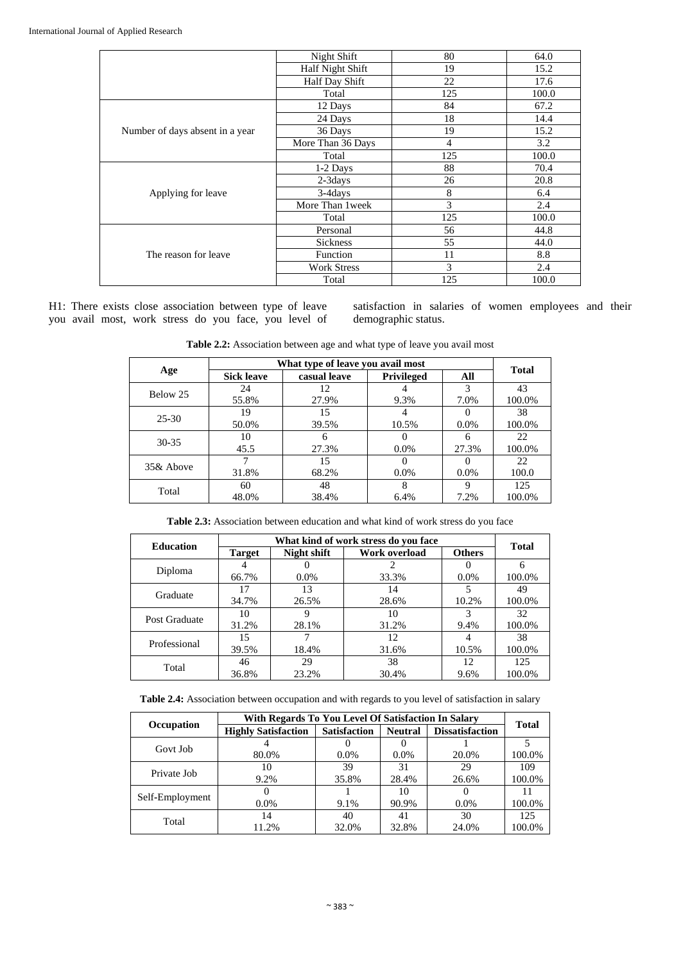|                                 | Night Shift        | 80             | 64.0  |
|---------------------------------|--------------------|----------------|-------|
|                                 | Half Night Shift   | 19             | 15.2  |
|                                 | Half Day Shift     | 22             | 17.6  |
|                                 | Total              | 125            | 100.0 |
|                                 | 12 Days            | 84             | 67.2  |
|                                 | 24 Days            | 18             | 14.4  |
| Number of days absent in a year | 36 Days            | 19             | 15.2  |
|                                 | More Than 36 Days  | $\overline{4}$ | 3.2   |
|                                 | Total              | 125            | 100.0 |
|                                 | 1-2 Days           | 88             | 70.4  |
|                                 | $2-3$ days         | 26             | 20.8  |
| Applying for leave              | $3-4$ days         | 8              | 6.4   |
|                                 | More Than 1 week   | 3              | 2.4   |
|                                 | Total              | 125            | 100.0 |
|                                 | Personal           | 56             | 44.8  |
|                                 | <b>Sickness</b>    | 55             | 44.0  |
| The reason for leave            | Function           | 11             | 8.8   |
|                                 | <b>Work Stress</b> | 3              | 2.4   |
|                                 | Total              | 125            | 100.0 |

H1: There exists close association between type of leave you avail most, work stress do you face, you level of satisfaction in salaries of women employees and their demographic status.

**Table 2.2:** Association between age and what type of leave you avail most

|           |                   | <b>Total</b>                                      |                                                                                                            |         |        |
|-----------|-------------------|---------------------------------------------------|------------------------------------------------------------------------------------------------------------|---------|--------|
| Age       | <b>Sick leave</b> | casual leave                                      | What type of leave you avail most<br><b>Privileged</b><br>9.3%<br>10.5%<br>$0.0\%$<br>$0.0\%$<br>8<br>6.4% | All     |        |
| Below 25  | 24                | 12                                                |                                                                                                            | 3       | 43     |
|           | 55.8%             | 27.9%<br>15<br>39.5%<br>6<br>27.3%<br>15<br>68.2% |                                                                                                            | 7.0%    | 100.0% |
| $25 - 30$ | 19                |                                                   |                                                                                                            |         | 38     |
|           | 50.0%             |                                                   |                                                                                                            | $0.0\%$ | 100.0% |
| $30 - 35$ | 10                |                                                   |                                                                                                            | 6       | 22     |
|           | 45.5              |                                                   |                                                                                                            | 27.3%   | 100.0% |
| 35& Above |                   |                                                   |                                                                                                            |         | 22     |
|           | 31.8%             |                                                   |                                                                                                            | $0.0\%$ | 100.0  |
| Total     | 60                | 48                                                |                                                                                                            | 9       | 125    |
|           | 48.0%             | 38.4%                                             |                                                                                                            | 7.2%    | 100.0% |

**Table 2.3:** Association between education and what kind of work stress do you face

| <b>Education</b> |                                                                                                              | <b>Total</b> |               |               |        |
|------------------|--------------------------------------------------------------------------------------------------------------|--------------|---------------|---------------|--------|
|                  | <b>Target</b>                                                                                                | Night shift  | Work overload | <b>Others</b> |        |
|                  |                                                                                                              |              |               |               | 6      |
|                  | 66.7%                                                                                                        | $0.0\%$      | 33.3%         | $0.0\%$       | 100.0% |
|                  | 17                                                                                                           | 13           | 14            |               | 49     |
| Graduate         | 34.7%                                                                                                        | 26.5%        | 28.6%         | 10.2%         | 100.0% |
| Post Graduate    | 10                                                                                                           |              | 10            | 3             | 32     |
|                  | What kind of work stress do you face<br>31.2%<br>28.1%<br>15<br>39.5%<br>18.4%<br>29<br>46<br>36.8%<br>23.2% | 31.2%        | 9.4%          | 100.0%        |        |
| Professional     |                                                                                                              |              | 12            |               | 38     |
|                  | Diploma<br>Total                                                                                             | 31.6%        | 10.5%         | 100.0%        |        |
|                  |                                                                                                              |              | 38            | 12            | 125    |
|                  |                                                                                                              |              | 30.4%         | 9.6%          | 100.0% |

**Table 2.4:** Association between occupation and with regards to you level of satisfaction in salary

|                 | With Regards To You Level Of Satisfaction In Salary |                                                                                               |                |                        |              |  |
|-----------------|-----------------------------------------------------|-----------------------------------------------------------------------------------------------|----------------|------------------------|--------------|--|
| Occupation      | <b>Highly Satisfaction</b>                          | <b>Satisfaction</b>                                                                           | <b>Neutral</b> | <b>Dissatisfaction</b> | <b>Total</b> |  |
| Govt Job        |                                                     |                                                                                               |                |                        |              |  |
|                 | 80.0%                                               | $0.0\%$                                                                                       | $0.0\%$        | 20.0%                  | 100.0%       |  |
| Private Job     | 10                                                  | 39                                                                                            | 31             | 29                     | 109          |  |
|                 | 9.2%                                                | 35.8%<br>28.4%<br>10<br>$0.0\%$<br>9.1%<br>90.9%<br>14<br>40<br>41<br>11.2%<br>32.0%<br>32.8% |                | 26.6%                  | 100.0%       |  |
|                 |                                                     |                                                                                               |                |                        |              |  |
| Self-Employment |                                                     | $0.0\%$<br>30<br>24.0%                                                                        | 100.0%         |                        |              |  |
|                 |                                                     |                                                                                               |                |                        | 125          |  |
| Total           |                                                     |                                                                                               |                |                        | 100.0%       |  |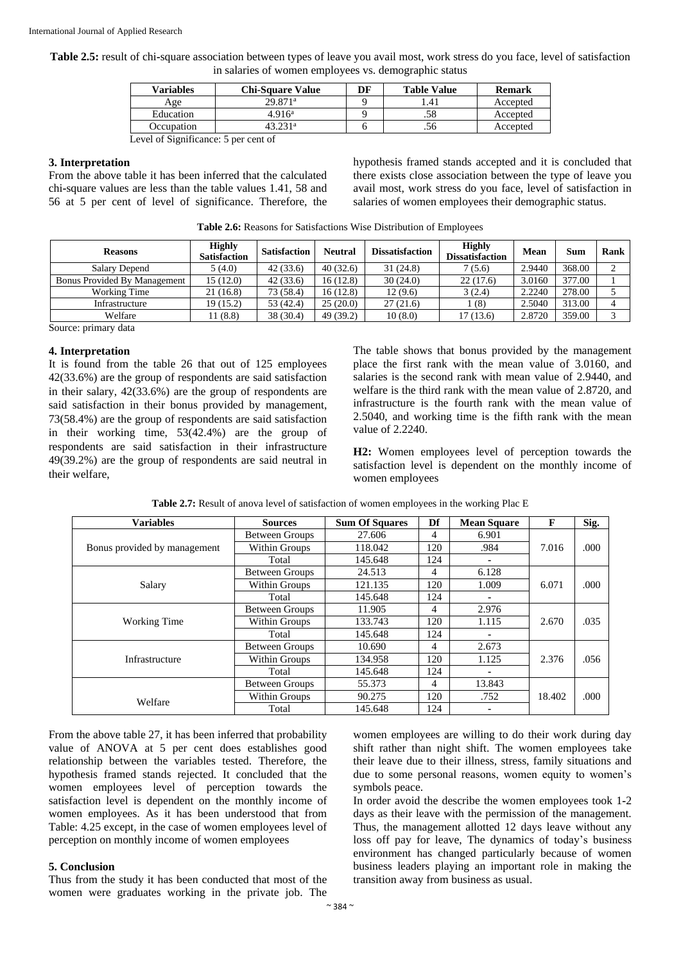**Table 2.5:** result of chi**-**square association between types of leave you avail most, work stress do you face, level of satisfaction in salaries of women employees vs. demographic status

| <b>Variables</b> | <b>Chi-Square Value</b> | DF | <b>Table Value</b> | <b>Remark</b> |
|------------------|-------------------------|----|--------------------|---------------|
| Age              | $29.871^{\mathrm{a}}$   |    | .41                | Accepted      |
| Education        | 4.916 <sup>a</sup>      |    | .58                | Accepted      |
| Occupation       | 43 731a                 |    | .56                | Accepted      |
|                  |                         |    |                    |               |

Level of Significance: 5 per cent of

#### **3. Interpretation**

From the above table it has been inferred that the calculated chi**-**square values are less than the table values 1.41, 58 and 56 at 5 per cent of level of significance. Therefore, the hypothesis framed stands accepted and it is concluded that there exists close association between the type of leave you avail most, work stress do you face, level of satisfaction in salaries of women employees their demographic status.

| <b>Table 2.6:</b> Reasons for Satisfactions Wise Distribution of Employees |  |
|----------------------------------------------------------------------------|--|
|----------------------------------------------------------------------------|--|

| <b>Reasons</b>               | <b>Highly</b><br><b>Satisfaction</b> | <b>Satisfaction</b> | <b>Neutral</b> | <b>Dissatisfaction</b> | <b>Highly</b><br><b>Dissatisfaction</b> | Mean   | Sum    | Rank   |
|------------------------------|--------------------------------------|---------------------|----------------|------------------------|-----------------------------------------|--------|--------|--------|
| Salary Depend                | 5(4.0)                               | 42(33.6)            | 40(32.6)       | 31(24.8)               | 7(5.6)                                  | 2.9440 | 368.00 | ⌒      |
| Bonus Provided By Management | 15(12.0)                             | 42(33.6)            | 16(12.8)       | 30(24.0)               | 22(17.6)                                | 3.0160 | 377.00 |        |
| Working Time                 | 21 (16.8)                            | 73 (58.4)           | 16(12.8)       | 12(9.6)                | 3(2.4)                                  | 2.2240 | 278.00 |        |
| Infrastructure               | 19 (15.2)                            | 53 (42.4)           | 25(20.0)       | 27(21.6)               | (8)                                     | 2.5040 | 313.00 | 4      |
| Welfare                      | 11 (8.8)                             | 38 (30.4)           | 49 (39.2)      | 10(8.0)                | 17(13.6)                                | 2.8720 | 359.00 | $\sim$ |

Source: primary data

#### **4. Interpretation**

It is found from the table 26 that out of 125 employees 42(33.6%) are the group of respondents are said satisfaction in their salary, 42(33.6%) are the group of respondents are said satisfaction in their bonus provided by management, 73(58.4%) are the group of respondents are said satisfaction in their working time, 53(42.4%) are the group of respondents are said satisfaction in their infrastructure 49(39.2%) are the group of respondents are said neutral in their welfare,

The table shows that bonus provided by the management place the first rank with the mean value of 3.0160, and salaries is the second rank with mean value of 2.9440, and welfare is the third rank with the mean value of 2.8720, and infrastructure is the fourth rank with the mean value of 2.5040, and working time is the fifth rank with the mean value of 2.2240.

**H2:** Women employees level of perception towards the satisfaction level is dependent on the monthly income of women employees

|           |                | <b>Table 2.7:</b> Result of anova level of satisfaction of women employees in the working Plac E |  |  |
|-----------|----------------|--------------------------------------------------------------------------------------------------|--|--|
| /ariables | <b>Sources</b> | <b>Sum Of Squares   Df   Mean Square</b>                                                         |  |  |

| <b>Variables</b>             | <b>Sources</b>        | <b>Sum Of Squares</b> | Df  | <b>Mean Square</b> | $\mathbf{F}$ | Sig. |
|------------------------------|-----------------------|-----------------------|-----|--------------------|--------------|------|
|                              | <b>Between Groups</b> | 27.606                | 4   | 6.901              |              |      |
| Bonus provided by management | Within Groups         | 118.042               | 120 | .984               | 7.016        | .000 |
|                              | Total                 | 145.648               | 124 | ۰                  |              |      |
|                              | <b>Between Groups</b> | 24.513                | 4   | 6.128              |              |      |
| Salary                       | Within Groups         | 121.135               | 120 | 1.009              | 6.071        | .000 |
|                              | Total                 | 145.648               | 124 | ۰                  |              |      |
|                              | <b>Between Groups</b> | 11.905                | 4   | 2.976              |              |      |
| Working Time                 | Within Groups         | 133.743               | 120 | 1.115              | 2.670        | .035 |
|                              | Total                 | 145.648               | 124 | ۰                  |              |      |
|                              | <b>Between Groups</b> | 10.690                | 4   | 2.673              |              |      |
| Infrastructure               | Within Groups         | 134.958               | 120 | 1.125              | 2.376        | .056 |
|                              | Total                 | 145.648               | 124 | ۰                  |              |      |
|                              | <b>Between Groups</b> | 55.373                | 4   | 13.843             |              |      |
| Welfare                      | Within Groups         | 90.275                | 120 | .752               | 18.402       | .000 |
|                              | Total                 | 145.648               | 124 | ۰                  |              |      |

From the above table 27, it has been inferred that probability value of ANOVA at 5 per cent does establishes good relationship between the variables tested. Therefore, the hypothesis framed stands rejected. It concluded that the women employees level of perception towards the satisfaction level is dependent on the monthly income of women employees. As it has been understood that from Table: 4.25 except, in the case of women employees level of perception on monthly income of women employees

#### **5. Conclusion**

Thus from the study it has been conducted that most of the women were graduates working in the private job. The women employees are willing to do their work during day shift rather than night shift. The women employees take their leave due to their illness, stress, family situations and due to some personal reasons, women equity to women's symbols peace.

In order avoid the describe the women employees took 1**-**2 days as their leave with the permission of the management. Thus, the management allotted 12 days leave without any loss off pay for leave, The dynamics of today's business environment has changed particularly because of women business leaders playing an important role in making the transition away from business as usual.